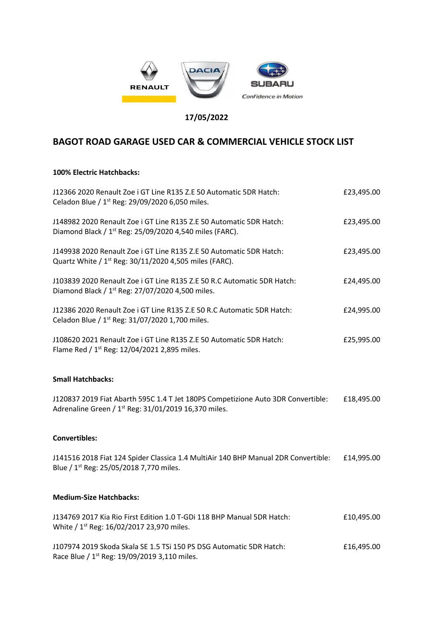

## **17/05/2022**

## **BAGOT ROAD GARAGE USED CAR & COMMERCIAL VEHICLE STOCK LIST**

## **100% Electric Hatchbacks:**

| J12366 2020 Renault Zoe i GT Line R135 Z.E 50 Automatic 5DR Hatch:<br>Celadon Blue / 1 <sup>st</sup> Reg: 29/09/2020 6,050 miles.                    | £23,495.00 |
|------------------------------------------------------------------------------------------------------------------------------------------------------|------------|
| J148982 2020 Renault Zoe i GT Line R135 Z.E 50 Automatic 5DR Hatch:<br>Diamond Black / 1 <sup>st</sup> Reg: 25/09/2020 4,540 miles (FARC).           | £23,495.00 |
| J149938 2020 Renault Zoe i GT Line R135 Z.E 50 Automatic 5DR Hatch:<br>Quartz White / 1 <sup>st</sup> Reg: 30/11/2020 4,505 miles (FARC).            | £23,495.00 |
| J103839 2020 Renault Zoe i GT Line R135 Z.E 50 R.C Automatic 5DR Hatch:<br>Diamond Black / 1 <sup>st</sup> Reg: 27/07/2020 4,500 miles.              | £24,495.00 |
| J12386 2020 Renault Zoe i GT Line R135 Z.E 50 R.C Automatic 5DR Hatch:<br>Celadon Blue / 1 <sup>st</sup> Reg: 31/07/2020 1,700 miles.                | £24,995.00 |
| J108620 2021 Renault Zoe i GT Line R135 Z.E 50 Automatic 5DR Hatch:<br>Flame Red / 1 <sup>st</sup> Reg: 12/04/2021 2,895 miles.                      | £25,995.00 |
| <b>Small Hatchbacks:</b>                                                                                                                             |            |
| J120837 2019 Fiat Abarth 595C 1.4 T Jet 180PS Competizione Auto 3DR Convertible:<br>Adrenaline Green / 1 <sup>st</sup> Reg: 31/01/2019 16,370 miles. | £18,495.00 |
| <b>Convertibles:</b>                                                                                                                                 |            |
| J141516 2018 Fiat 124 Spider Classica 1.4 MultiAir 140 BHP Manual 2DR Convertible:<br>Blue / 1 <sup>st</sup> Reg: 25/05/2018 7,770 miles.            | £14,995.00 |
| <b>Medium-Size Hatchbacks:</b>                                                                                                                       |            |
| J134769 2017 Kia Rio First Edition 1.0 T-GDi 118 BHP Manual 5DR Hatch:<br>White / 1 <sup>st</sup> Reg: 16/02/2017 23,970 miles.                      | £10,495.00 |
| J107974 2019 Skoda Skala SE 1.5 TSi 150 PS DSG Automatic 5DR Hatch:                                                                                  | £16,495.00 |

Race Blue / 1st Reg: 19/09/2019 3,110 miles.